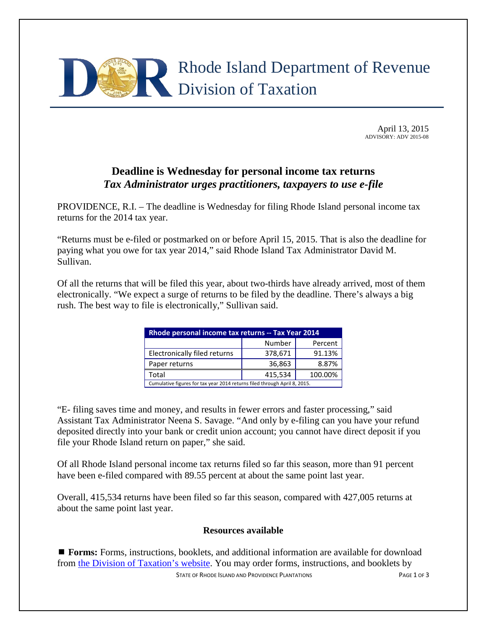

April 13, 2015 ADVISORY: ADV 2015-08

## **Deadline is Wednesday for personal income tax returns** *Tax Administrator urges practitioners, taxpayers to use e-file*

PROVIDENCE, R.I. – The deadline is Wednesday for filing Rhode Island personal income tax returns for the 2014 tax year.

"Returns must be e-filed or postmarked on or before April 15, 2015. That is also the deadline for paying what you owe for tax year 2014," said Rhode Island Tax Administrator David M. Sullivan.

Of all the returns that will be filed this year, about two-thirds have already arrived, most of them electronically. "We expect a surge of returns to be filed by the deadline. There's always a big rush. The best way to file is electronically," Sullivan said.

| <b>Rhode personal income tax returns -- Tax Year 2014</b>                 |         |         |  |
|---------------------------------------------------------------------------|---------|---------|--|
|                                                                           | Number  | Percent |  |
| Electronically filed returns                                              | 378,671 | 91.13%  |  |
| Paper returns                                                             | 36,863  | 8.87%   |  |
| Total                                                                     | 415,534 | 100.00% |  |
| Cumulative figures for tax year 2014 returns filed through April 8, 2015. |         |         |  |

"E- filing saves time and money, and results in fewer errors and faster processing," said Assistant Tax Administrator Neena S. Savage. "And only by e-filing can you have your refund deposited directly into your bank or credit union account; you cannot have direct deposit if you file your Rhode Island return on paper," she said.

Of all Rhode Island personal income tax returns filed so far this season, more than 91 percent have been e-filed compared with 89.55 percent at about the same point last year.

Overall, 415,534 returns have been filed so far this season, compared with 427,005 returns at about the same point last year.

## **Resources available**

STATE OF RHODE ISLAND AND PROVIDENCE PLANTATIONS FOR THE STATE OF 3 **Forms:** Forms, instructions, booklets, and additional information are available for download from [the Division of Taxation's website.](http://www.tax.ri.gov/) You may order forms, instructions, and booklets by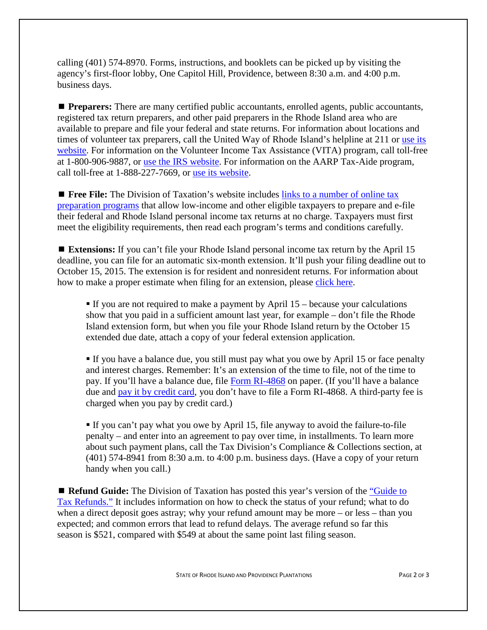calling (401) 574-8970. Forms, instructions, and booklets can be picked up by visiting the agency's first-floor lobby, One Capitol Hill, Providence, between 8:30 a.m. and 4:00 p.m. business days.

**Preparers:** There are many certified public accountants, enrolled agents, public accountants, registered tax return preparers, and other paid preparers in the Rhode Island area who are available to prepare and file your federal and state returns. For information about locations and times of volunteer tax preparers, call the United Way of Rhode Island's helpline at 211 or [use its](http://www.211ri.org/) [website.](http://www.211ri.org/) For information on the Volunteer Income Tax Assistance (VITA) program, call toll-free at 1-800-906-9887, or [use the IRS website.](http://www.irs.gov/Individuals/Free-Tax-Return-Preparation-for-You-by-Volunteers) For information on the AARP Tax-Aide program, call toll-free at 1-888-227-7669, or use its [website.](http://www.aarp.org/money/taxes/aarp_taxaide/)

**Free File:** The Division of Taxation's website includes links to a number of online tax [preparation programs](http://www.tax.ri.gov/misc/efile.php) that allow low-income and other eligible taxpayers to prepare and e-file their federal and Rhode Island personal income tax returns at no charge. Taxpayers must first meet the eligibility requirements, then read each program's terms and conditions carefully.

**Extensions:** If you can't file your Rhode Island personal income tax return by the April 15 deadline, you can file for an automatic six-month extension. It'll push your filing deadline out to October 15, 2015. The extension is for resident and nonresident returns. For information about how to make a proper estimate when filing for an extension, please [click here.](http://www.tax.ri.gov/newsletter/Rhode%20Island%20Division%20of%20Taxation%20newsletter%20-%202nd%20Q%202013.pdf)

If you are not required to make a payment by April  $15$  – because your calculations show that you paid in a sufficient amount last year, for example – don't file the Rhode Island extension form, but when you file your Rhode Island return by the October 15 extended due date, attach a copy of your federal extension application.

 If you have a balance due, you still must pay what you owe by April 15 or face penalty and interest charges. Remember: It's an extension of the time to file, not of the time to pay. If you'll have a balance due, file [Form RI-4868](http://www.tax.ri.gov/forms/2014/Income/2014%20RI-4868.pdf) on paper. (If you'll have a balance due and [pay it by credit card,](http://www.tax.ri.gov/misc/creditcard.php) you don't have to file a Form RI-4868. A third-party fee is charged when you pay by credit card.)

 If you can't pay what you owe by April 15, file anyway to avoid the failure-to-file penalty – and enter into an agreement to pay over time, in installments. To learn more about such payment plans, call the Tax Division's Compliance & Collections section, at (401) 574-8941 from 8:30 a.m. to 4:00 p.m. business days. (Have a copy of your return handy when you call.)

**Refund Guide:** The Division of Taxation has posted this year's version of the "Guide to" [Tax Refunds."](http://www.tax.ri.gov/Tax%20Website/TAX/notice/Guide%20to%20Refunds%202015.pdf) It includes information on how to check the status of your refund; what to do when a direct deposit goes astray; why your refund amount may be more – or less – than you expected; and common errors that lead to refund delays. The average refund so far this season is \$521, compared with \$549 at about the same point last filing season.